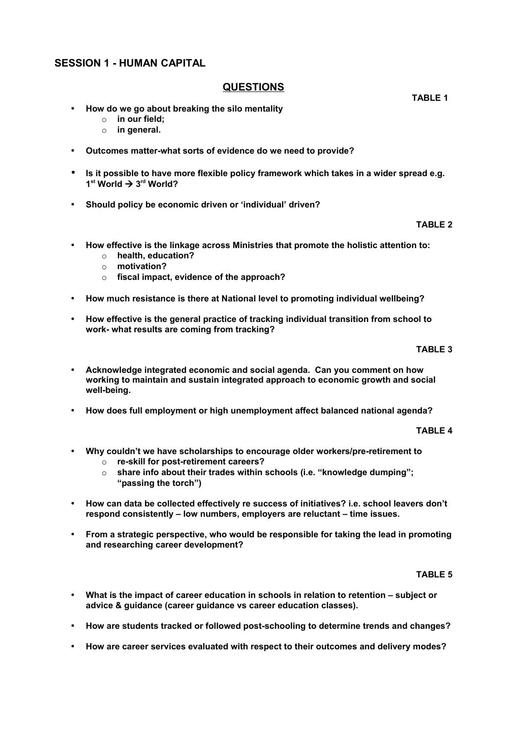# **SESSION 1 - HUMAN CAPITAL**

# **QUESTIONS**

- **How do we go about breaking the silo mentality**
	- o **in our field;**
	- o **in general.**
- **Outcomes matter-what sorts of evidence do we need to provide?**
- **Is it possible to have more flexible policy framework which takes in a wider spread e.g. 1 st World 3rd World?**
- **Should policy be economic driven or 'individual' driven?**

### **TABLE 2**

- **How effective is the linkage across Ministries that promote the holistic attention to:**
	- o **health, education?**
	- o **motivation?**
	- o **fiscal impact, evidence of the approach?**
- **How much resistance is there at National level to promoting individual wellbeing?**
- **How effective is the general practice of tracking individual transition from school to work- what results are coming from tracking?**

#### **TABLE 3**

- **Acknowledge integrated economic and social agenda. Can you comment on how working to maintain and sustain integrated approach to economic growth and social well-being.**
- **How does full employment or high unemployment affect balanced national agenda?**

#### **TABLE 4**

- **Why couldn't we have scholarships to encourage older workers/pre-retirement to**
	- o **re-skill for post-retirement careers?**
	- o **share info about their trades within schools (i.e. "knowledge dumping"; "passing the torch")**
- **How can data be collected effectively re success of initiatives? i.e. school leavers don't respond consistently – low numbers, employers are reluctant – time issues.**
- **From a strategic perspective, who would be responsible for taking the lead in promoting and researching career development?**

#### **TABLE 5**

- **What is the impact of career education in schools in relation to retention subject or advice & guidance (career guidance vs career education classes).**
- **How are students tracked or followed post-schooling to determine trends and changes?**
- **How are career services evaluated with respect to their outcomes and delivery modes?**

 **TABLE 1**